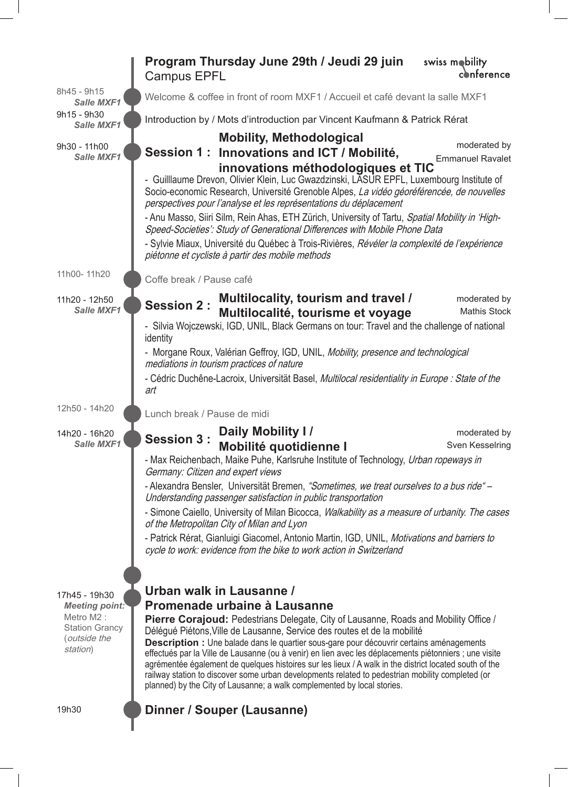|                                                                | Program Thursday June 29th / Jeudi 29 juin<br><b>Campus EPFL</b>                                                                                                                                                                                                                                                                                                                                                                                                                                                                                                                                                                                                       | swiss mobility<br>conference            |  |
|----------------------------------------------------------------|------------------------------------------------------------------------------------------------------------------------------------------------------------------------------------------------------------------------------------------------------------------------------------------------------------------------------------------------------------------------------------------------------------------------------------------------------------------------------------------------------------------------------------------------------------------------------------------------------------------------------------------------------------------------|-----------------------------------------|--|
| 8h45 - 9h15<br><b>Salle MXF1</b>                               | Welcome & coffee in front of room MXF1 / Accueil et café devant la salle MXF1                                                                                                                                                                                                                                                                                                                                                                                                                                                                                                                                                                                          |                                         |  |
| 9h15 - 9h30<br>Salle MXF1                                      | Introduction by / Mots d'introduction par Vincent Kaufmann & Patrick Rérat                                                                                                                                                                                                                                                                                                                                                                                                                                                                                                                                                                                             |                                         |  |
| 9h30 - 11h00<br>Salle MXF1                                     | <b>Mobility, Methodological</b><br>Session 1: Innovations and ICT / Mobilité,                                                                                                                                                                                                                                                                                                                                                                                                                                                                                                                                                                                          | moderated by<br><b>Emmanuel Ravalet</b> |  |
|                                                                | innovations méthodologiques et TIC<br>- Guilllaume Drevon, Olivier Klein, Luc Gwazdzinski, LASUR EPFL, Luxembourg Institute of<br>Socio-economic Research, Université Grenoble Alpes, La vidéo géoréférencée, de nouvelles<br>perspectives pour l'analyse et les représentations du déplacement<br>- Anu Masso, Siiri Silm, Rein Ahas, ETH Zürich, University of Tartu, Spatial Mobility in 'High-<br>Speed-Societies': Study of Generational Differences with Mobile Phone Data<br>- Sylvie Miaux, Université du Québec à Trois-Rivières, Révéler la complexité de l'expérience<br>piétonne et cycliste à partir des mobile methods                                   |                                         |  |
| 11h00-11h20                                                    | Coffe break / Pause café                                                                                                                                                                                                                                                                                                                                                                                                                                                                                                                                                                                                                                               |                                         |  |
| 11h20 - 12h50<br>Salle MXF1                                    | Multilocality, tourism and travel /<br><b>Session 2:</b><br>Multilocalité, tourisme et voyage<br>- Silvia Wojczewski, IGD, UNIL, Black Germans on tour: Travel and the challenge of national<br>identity                                                                                                                                                                                                                                                                                                                                                                                                                                                               | moderated by<br><b>Mathis Stock</b>     |  |
|                                                                | - Morgane Roux, Valérian Geffroy, IGD, UNIL, Mobility, presence and technological<br>mediations in tourism practices of nature                                                                                                                                                                                                                                                                                                                                                                                                                                                                                                                                         |                                         |  |
|                                                                | - Cédric Duchêne-Lacroix, Universität Basel, Multilocal residentiality in Europe : State of the<br>art                                                                                                                                                                                                                                                                                                                                                                                                                                                                                                                                                                 |                                         |  |
| 12h50 - 14h20                                                  | Lunch break / Pause de midi                                                                                                                                                                                                                                                                                                                                                                                                                                                                                                                                                                                                                                            |                                         |  |
| 14h20 - 16h20<br>Salle MXF1                                    | Daily Mobility I/<br><b>Session 3:</b><br><b>Mobilité quotidienne l</b>                                                                                                                                                                                                                                                                                                                                                                                                                                                                                                                                                                                                | moderated by<br>Sven Kesselring         |  |
|                                                                | - Max Reichenbach, Maike Puhe, Karlsruhe Institute of Technology, Urban ropeways in<br>Germany: Citizen and expert views<br>- Alexandra Bensler, Universität Bremen, "Sometimes, we treat ourselves to a bus ride" -<br>Understanding passenger satisfaction in public transportation<br>- Simone Caiello, University of Milan Bicocca, <i>Walkability as a measure of urbanity. The cases</i><br>of the Metropolitan City of Milan and Lyon                                                                                                                                                                                                                           |                                         |  |
|                                                                |                                                                                                                                                                                                                                                                                                                                                                                                                                                                                                                                                                                                                                                                        |                                         |  |
|                                                                |                                                                                                                                                                                                                                                                                                                                                                                                                                                                                                                                                                                                                                                                        |                                         |  |
|                                                                | - Patrick Rérat, Gianluigi Giacomel, Antonio Martin, IGD, UNIL, Motivations and barriers to<br>cycle to work: evidence from the bike to work action in Switzerland                                                                                                                                                                                                                                                                                                                                                                                                                                                                                                     |                                         |  |
|                                                                | Urban walk in Lausanne /                                                                                                                                                                                                                                                                                                                                                                                                                                                                                                                                                                                                                                               |                                         |  |
| 17h45 - 19h30<br><b>Meeting point:</b>                         | Promenade urbaine à Lausanne                                                                                                                                                                                                                                                                                                                                                                                                                                                                                                                                                                                                                                           |                                         |  |
| Metro M2:<br><b>Station Grancy</b><br>(outside the<br>station) | <b>Pierre Corajoud:</b> Pedestrians Delegate, City of Lausanne, Roads and Mobility Office /<br>Délégué Piétons, Ville de Lausanne, Service des routes et de la mobilité<br>Description : Une balade dans le quartier sous-gare pour découvrir certains aménagements<br>effectués par la Ville de Lausanne (ou à venir) en lien avec les déplacements piétonniers ; une visite<br>agrémentée également de quelques histoires sur les lieux / A walk in the district located south of the<br>railway station to discover some urban developments related to pedestrian mobility completed (or<br>planned) by the City of Lausanne; a walk complemented by local stories. |                                         |  |
| 19h30                                                          | Dinner / Souper (Lausanne)                                                                                                                                                                                                                                                                                                                                                                                                                                                                                                                                                                                                                                             |                                         |  |